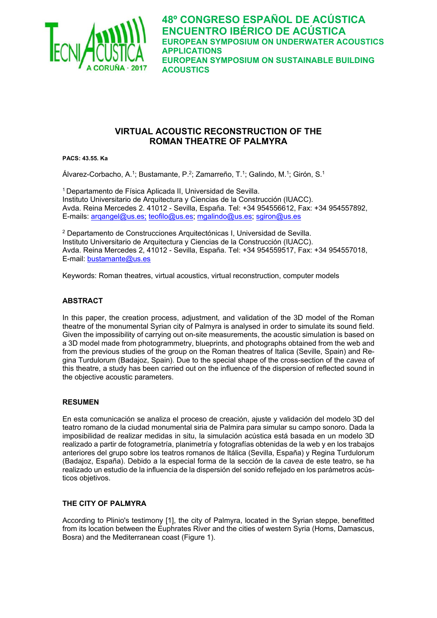

# **VIRTUAL ACOUSTIC RECONSTRUCTION OF THE ROMAN THEATRE OF PALMYRA**

**PACS: 43.55. Ka** 

Álvarez-Corbacho, A.1; Bustamante, P.2; Zamarreño, T.1; Galindo, M.1; Girón, S.1

1 Departamento de Física Aplicada II, Universidad de Sevilla. Instituto Universitario de Arquitectura y Ciencias de la Construcción (IUACC). Avda. Reina Mercedes 2. 41012 - Sevilla, España. Tel: +34 954556612, Fax: +34 954557892, E-mails: arqangel@us.es; teofilo@us.es; mgalindo@us.es; sgiron@us.es

2 Departamento de Construcciones Arquitectónicas I, Universidad de Sevilla. Instituto Universitario de Arquitectura y Ciencias de la Construcción (IUACC). Avda. Reina Mercedes 2, 41012 - Sevilla, España. Tel: +34 954559517, Fax: +34 954557018, E-mail: bustamante@us.es

Keywords: Roman theatres, virtual acoustics, virtual reconstruction, computer models

## **ABSTRACT**

In this paper, the creation process, adjustment, and validation of the 3D model of the Roman theatre of the monumental Syrian city of Palmyra is analysed in order to simulate its sound field. Given the impossibility of carrying out on-site measurements, the acoustic simulation is based on a 3D model made from photogrammetry, blueprints, and photographs obtained from the web and from the previous studies of the group on the Roman theatres of Italica (Seville, Spain) and Regina Turdulorum (Badajoz, Spain). Due to the special shape of the cross-section of the *cavea* of this theatre, a study has been carried out on the influence of the dispersion of reflected sound in the objective acoustic parameters.

## **RESUMEN**

En esta comunicación se analiza el proceso de creación, ajuste y validación del modelo 3D del teatro romano de la ciudad monumental siria de Palmira para simular su campo sonoro. Dada la imposibilidad de realizar medidas in situ, la simulación acústica está basada en un modelo 3D realizado a partir de fotogrametría, planimetría y fotografías obtenidas de la web y en los trabajos anteriores del grupo sobre los teatros romanos de Itálica (Sevilla, España) y Regina Turdulorum (Badajoz, España). Debido a la especial forma de la sección de la *cavea* de este teatro, se ha realizado un estudio de la influencia de la dispersión del sonido reflejado en los parámetros acústicos objetivos.

## **THE CITY OF PALMYRA**

According to Plinio's testimony [1], the city of Palmyra, located in the Syrian steppe, benefitted from its location between the Euphrates River and the cities of western Syria (Homs, Damascus, Bosra) and the Mediterranean coast (Figure 1).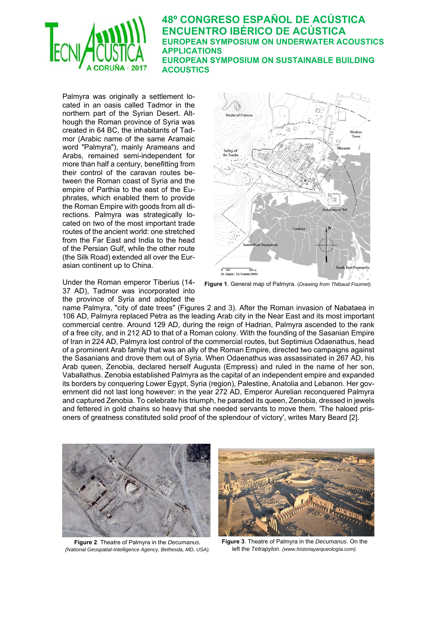

Palmyra was originally a settlement located in an oasis called Tadmor in the northern part of the Syrian Desert. Although the Roman province of Syria was created in 64 BC, the inhabitants of Tadmor (Arabic name of the same Aramaic word "Palmyra"), mainly Arameans and Arabs, remained semi-independent for more than half a century, benefitting from their control of the caravan routes between the Roman coast of Syria and the empire of Parthia to the east of the Euphrates, which enabled them to provide the Roman Empire with goods from all directions. Palmyra was strategically located on two of the most important trade routes of the ancient world: one stretched from the Far East and India to the head of the Persian Gulf, while the other route (the Silk Road) extended all over the Eurasian continent up to China.

Under the Roman emperor Tiberius (14- 37 AD), Tadmor was incorporated into the province of Syria and adopted the



**Figure 1**. General map of Palmyra. (*Drawing from Thibaud Fournet).*

name Palmyra, "city of date trees" (Figures 2 and 3). After the Roman invasion of Nabataea in 106 AD, Palmyra replaced Petra as the leading Arab city in the Near East and its most important commercial centre. Around 129 AD, during the reign of Hadrian, Palmyra ascended to the rank of a free city, and in 212 AD to that of a Roman colony. With the founding of the Sasanian Empire of Iran in 224 AD, Palmyra lost control of the commercial routes, but Septimius Odaenathus, head of a prominent Arab family that was an ally of the Roman Empire, directed two campaigns against the Sasanians and drove them out of Syria. When Odaenathus was assassinated in 267 AD, his Arab queen, Zenobia, declared herself Augusta (Empress) and ruled in the name of her son, Vaballathus. Zenobia established Palmyra as the capital of an independent empire and expanded its borders by conquering Lower Egypt, Syria (region), Palestine, Anatolia and Lebanon. Her government did not last long however: in the year 272 AD, Emperor Aurelian reconquered Palmyra and captured Zenobia. To celebrate his triumph, he paraded its queen, Zenobia, dressed in jewels and fettered in gold chains so heavy that she needed servants to move them. 'The haloed prisoners of greatness constituted solid proof of the splendour of victory', writes Mary Beard [2].



**Figure 2**. Theatre of Palmyra in the *Decumanus. (National Geospatial-Intelligence Agency, Bethesda, MD, USA).*



**Figure 3**. Theatre of Palmyra in the *Decumanus*. On the left the *Tetrapylon*. *(www.historiayarqueología.com).*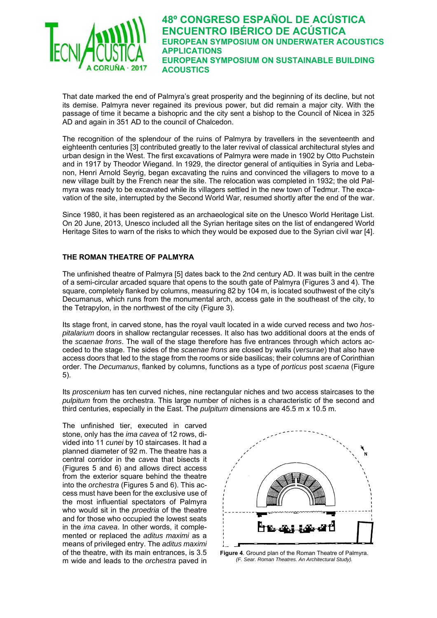

That date marked the end of Palmyra's great prosperity and the beginning of its decline, but not its demise. Palmyra never regained its previous power, but did remain a major city. With the passage of time it became a bishopric and the city sent a bishop to the Council of Nicea in 325 AD and again in 351 AD to the council of Chalcedon.

The recognition of the splendour of the ruins of Palmyra by travellers in the seventeenth and eighteenth centuries [3] contributed greatly to the later revival of classical architectural styles and urban design in the West. The first excavations of Palmyra were made in 1902 by Otto Puchstein and in 1917 by Theodor Wiegand. In 1929, the director general of antiquities in Syria and Lebanon, Henri Arnold Seyrig, began excavating the ruins and convinced the villagers to move to a new village built by the French near the site. The relocation was completed in 1932; the old Palmyra was ready to be excavated while its villagers settled in the new town of Tedmur. The excavation of the site, interrupted by the Second World War, resumed shortly after the end of the war.

Since 1980, it has been registered as an archaeological site on the Unesco World Heritage List. On 20 June, 2013, Unesco included all the Syrian heritage sites on the list of endangered World Heritage Sites to warn of the risks to which they would be exposed due to the Syrian civil war [4].

## **THE ROMAN THEATRE OF PALMYRA**

The unfinished theatre of Palmyra [5] dates back to the 2nd century AD. It was built in the centre of a semi-circular arcaded square that opens to the south gate of Palmyra (Figures 3 and 4). The square, completely flanked by columns, measuring 82 by 104 m, is located southwest of the city's Decumanus, which runs from the monumental arch, access gate in the southeast of the city, to the Tetrapylon, in the northwest of the city (Figure 3).

Its stage front, in carved stone, has the royal vault located in a wide curved recess and two *hospitalarium* doors in shallow rectangular recesses. It also has two additional doors at the ends of the *scaenae frons*. The wall of the stage therefore has five entrances through which actors acceded to the stage. The sides of the *scaenae frons* are closed by walls (*versurae*) that also have access doors that led to the stage from the rooms or side basilicas; their columns are of Corinthian order. The *Decumanus*, flanked by columns, functions as a type of *porticus* post *scaena* (Figure 5).

Its *proscenium* has ten curved niches, nine rectangular niches and two access staircases to the *pulpitum* from the orchestra. This large number of niches is a characteristic of the second and third centuries, especially in the East. The *pulpitum* dimensions are 45.5 m x 10.5 m.

The unfinished tier, executed in carved stone, only has the *ima cavea* of 12 rows, divided into 11 *cunei* by 10 staircases. It had a planned diameter of 92 m. The theatre has a central corridor in the *cavea* that bisects it (Figures 5 and 6) and allows direct access from the exterior square behind the theatre into the *orchestra* (Figures 5 and 6). This access must have been for the exclusive use of the most influential spectators of Palmyra who would sit in the *proedria* of the theatre and for those who occupied the lowest seats in the *ima cavea*. In other words, it complemented or replaced the *aditus maximi* as a means of privileged entry. The *aditus maximi* of the theatre, with its main entrances, is 3.5 m wide and leads to the *orchestra* paved in



**Figure 4**. Ground plan of the Roman Theatre of Palmyra. *(F. Sear. Roman Theatres. An Architectural Study).*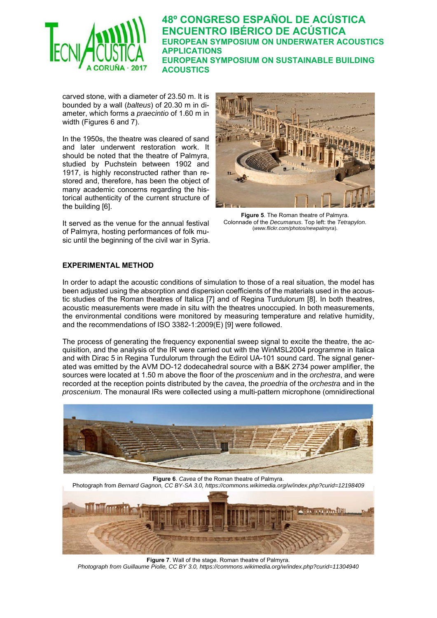

carved stone, with a diameter of 23.50 m. It is bounded by a wall (*balteus*) of 20.30 m in diameter, which forms a *praecintio* of 1.60 m in width (Figures 6 and 7).

In the 1950s, the theatre was cleared of sand and later underwent restoration work. It should be noted that the theatre of Palmyra, studied by Puchstein between 1902 and 1917, is highly reconstructed rather than restored and, therefore, has been the object of many academic concerns regarding the historical authenticity of the current structure of the building [6].

It served as the venue for the annual festival of Palmyra, hosting performances of folk music until the beginning of the civil war in Syria.



**Figure 5**. The Roman theatre of Palmyra. Colonnade of the *Decumanus*. Top left: the *Tetrapylon*. (*www.flickr.com/photos/newpalmyra*).

#### **EXPERIMENTAL METHOD**

In order to adapt the acoustic conditions of simulation to those of a real situation, the model has been adjusted using the absorption and dispersion coefficients of the materials used in the acoustic studies of the Roman theatres of Italica [7] and of Regina Turdulorum [8]. In both theatres, acoustic measurements were made in situ with the theatres unoccupied. In both measurements, the environmental conditions were monitored by measuring temperature and relative humidity, and the recommendations of ISO 3382-1:2009(E) [9] were followed.

The process of generating the frequency exponential sweep signal to excite the theatre, the acquisition, and the analysis of the IR were carried out with the WinMSL2004 programme in Italica and with Dirac 5 in Regina Turdulorum through the Edirol UA-101 sound card. The signal generated was emitted by the AVM DO-12 dodecahedral source with a B&K 2734 power amplifier, the sources were located at 1.50 m above the floor of the *proscenium* and in the *orchestra*, and were recorded at the reception points distributed by the *cavea*, the *proedria* of the *orchestra* and in the *proscenium*. The monaural IRs were collected using a multi-pattern microphone (omnidirectional



**Figure 6**. *Cavea* of the Roman theatre of Palmyra. Photograph from *Bernard Gagnon, CC BY-SA 3.0, https://commons.wikimedia.org/w/index.php?curid=12198409* 

**Figure 7**. Wall of the stage. Roman theatre of Palmyra. *Photograph from Guillaume Piolle, CC BY 3.0, https://commons.wikimedia.org/w/index.php?curid=11304940*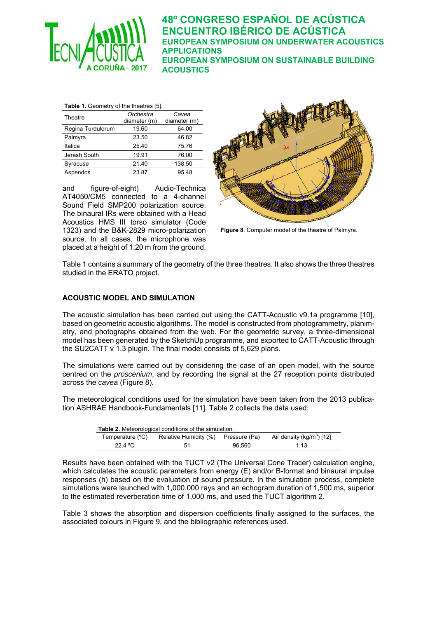

| Table 1. Geometry of the theatres [5]. |                           |                       |  |  |  |  |  |
|----------------------------------------|---------------------------|-----------------------|--|--|--|--|--|
| Theatre                                | Orchestra<br>diameter (m) | Cavea<br>diameter (m) |  |  |  |  |  |
| Regina Turdulorum                      | 19.60                     | 64.00                 |  |  |  |  |  |
| Palmyra                                | 23.50                     | 46.82                 |  |  |  |  |  |
| Italica                                | 25.40                     | 75.76                 |  |  |  |  |  |
| Jerash South                           | 19.91                     | 76.00                 |  |  |  |  |  |
| Syracuse                               | 21.40                     | 138.50                |  |  |  |  |  |
| Aspendos                               | 23.87                     | 95.48                 |  |  |  |  |  |

and figure-of-eight) Audio-Technica AT4050/CM5 connected to a 4-channel Sound Field SMP200 polarization source. The binaural IRs were obtained with a Head Acoustics HMS III torso simulator (Code 1323) and the B&K-2829 micro-polarization source. In all cases, the microphone was placed at a height of 1.20 m from the ground.



**Figure 8**. Computer model of the theatre of Palmyra.

Table 1 contains a summary of the geometry of the three theatres. It also shows the three theatres studied in the ERATO project.

#### **ACOUSTIC MODEL AND SIMULATION**

The acoustic simulation has been carried out using the CATT-Acoustic v9.1a programme [10], based on geometric acoustic algorithms. The model is constructed from photogrammetry, planimetry, and photographs obtained from the web. For the geometric survey, a three-dimensional model has been generated by the SketchUp programme, and exported to CATT-Acoustic through the SU2CATT v 1.3 plugin. The final model consists of 5,629 plans.

The simulations were carried out by considering the case of an open model, with the source centred on the *proscenium*, and by recording the signal at the 27 reception points distributed across the *cavea* (Figure 8).

The meteorological conditions used for the simulation have been taken from the 2013 publication ASHRAE Handbook-Fundamentals [11]. Table 2 collects the data used:

| <b>Table 2.</b> Meteorological conditions of the simulation. |                                     |        |                                       |  |  |  |
|--------------------------------------------------------------|-------------------------------------|--------|---------------------------------------|--|--|--|
| Temperature (°C)                                             | Relative Humidity (%) Pressure (Pa) |        | Air density (kg/m <sup>3</sup> ) [12] |  |  |  |
| 22.4 °C                                                      | 51                                  | 96.560 | 1.13                                  |  |  |  |

Results have been obtained with the TUCT v2 (The Universal Cone Tracer) calculation engine, which calculates the acoustic parameters from energy (E) and/or B-format and binaural impulse responses (h) based on the evaluation of sound pressure. In the simulation process, complete simulations were launched with 1,000,000 rays and an echogram duration of 1,500 ms, superior to the estimated reverberation time of 1,000 ms, and used the TUCT algorithm 2.

Table 3 shows the absorption and dispersion coefficients finally assigned to the surfaces, the associated colours in Figure 9, and the bibliographic references used.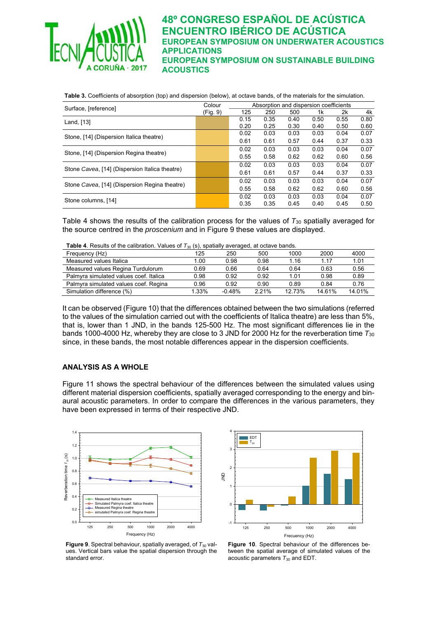

| Table 3. Coefficients of absorption (top) and dispersion (below), at octave bands, of the materials for the simulation. |  |  |
|-------------------------------------------------------------------------------------------------------------------------|--|--|
|                                                                                                                         |  |  |

| Surface, [reference]                           | Colour   | Absorption and dispersion coefficients |      |      |      |      |      |
|------------------------------------------------|----------|----------------------------------------|------|------|------|------|------|
|                                                | (Fig. 9) | 125                                    | 250  | 500  | 1k   | 2k   | 4k   |
| Land, [13]                                     |          | 0.15                                   | 0.35 | 0.40 | 0.50 | 0.55 | 0.80 |
|                                                |          | 0.20                                   | 0.25 | 0.30 | 0.40 | 0.50 | 0.60 |
| Stone, [14] (Dispersion Italica theatre)       |          | 0.02                                   | 0.03 | 0.03 | 0.03 | 0.04 | 0.07 |
|                                                |          | 0.61                                   | 0.61 | 0.57 | 0.44 | 0.37 | 0.33 |
| Stone, [14] (Dispersion Regina theatre)        |          | 0.02                                   | 0.03 | 0.03 | 0.03 | 0.04 | 0.07 |
|                                                |          | 0.55                                   | 0.58 | 0.62 | 0.62 | 0.60 | 0.56 |
| Stone Cavea, [14] (Dispersion Italica theatre) |          | 0.02                                   | 0.03 | 0.03 | 0.03 | 0.04 | 0.07 |
|                                                |          | 0.61                                   | 0.61 | 0.57 | 0.44 | 0.37 | 0.33 |
| Stone Cavea, [14] (Dispersion Regina theatre)  |          | 0.02                                   | 0.03 | 0.03 | 0.03 | 0.04 | 0.07 |
|                                                |          | 0.55                                   | 0.58 | 0.62 | 0.62 | 0.60 | 0.56 |
| Stone columns, [14]                            |          | 0.02                                   | 0.03 | 0.03 | 0.03 | 0.04 | 0.07 |
|                                                |          | 0.35                                   | 0.35 | 0.45 | 0.40 | 0.45 | 0.50 |

Table 4 shows the results of the calibration process for the values of *T*30 spatially averaged for the source centred in the *proscenium* and in Figure 9 these values are displayed.

**Table 4.** Results of the calibration. Values of  $T_{30}$  (s), spatially averaged, at octave bands.

| $\frac{1}{2}$ ably $\frac{1}{2}$ . Research of the calibration. Values of $\frac{1}{20}$ (s), spatially diverged, at octave barras. |       |          |      |        |        |        |
|-------------------------------------------------------------------------------------------------------------------------------------|-------|----------|------|--------|--------|--------|
| Frequency (Hz)                                                                                                                      | 125   | 250      | 500  | 1000   | 2000   | 4000   |
| Measured values Italica                                                                                                             | 1.00  | 0.98     | 0.98 | 1.16   | 1 17   | 1.01   |
| Measured values Regina Turdulorum                                                                                                   | 0.69  | 0.66     | 0.64 | 0.64   | 0.63   | 0.56   |
| Palmyra simulated values coef. Italica                                                                                              | 0.98  | 0.92     | 0.92 | 1.01   | 0.98   | 0.89   |
| Palmyra simulated values coef. Regina                                                                                               | 0.96  | 0.92     | 0.90 | 0.89   | 0.84   | 0.76   |
| Simulation difference (%)                                                                                                           | 1.33% | $-0.48%$ | 221% | 12.73% | 14 61% | 14.01% |

It can be observed (Figure 10) that the differences obtained between the two simulations (referred to the values of the simulation carried out with the coefficients of Italica theatre) are less than 5%, that is, lower than 1 JND, in the bands 125-500 Hz. The most significant differences lie in the bands 1000-4000 Hz, whereby they are close to 3 JND for 2000 Hz for the reverberation time *T*<sup>30</sup> since, in these bands, the most notable differences appear in the dispersion coefficients.

#### **ANALYSIS AS A WHOLE**

Figure 11 shows the spectral behaviour of the differences between the simulated values using different material dispersion coefficients, spatially averaged corresponding to the energy and binaural acoustic parameters. In order to compare the differences in the various parameters, they have been expressed in terms of their respective JND.





**Figure 9.** Spectral behaviour, spatially averaged, of  $T_{30}$  values. Vertical bars value the spatial dispersion through the standard error.

**Figure 10**. Spectral behaviour of the differences between the spatial average of simulated values of the acoustic parameters  $T_{30}$  and EDT.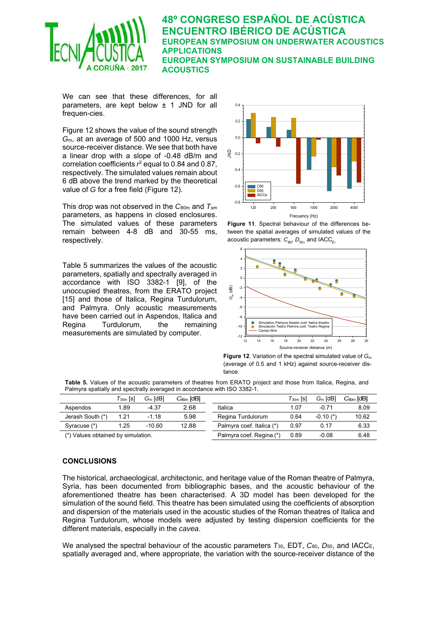

We can see that these differences, for all parameters, are kept below ± 1 JND for all frequen-cies.

Figure 12 shows the value of the sound strength *G*m, at an average of 500 and 1000 Hz, versus source-receiver distance. We see that both have a linear drop with a slope of -0.48 dB/m and correlation coefficients  $r^2$  equal to 0.84 and 0.87, respectively. The simulated values remain about 6 dB above the trend marked by the theoretical value of *G* for a free field (Figure 12).

This drop was not observed in the *C*80m and *T*sm parameters, as happens in closed enclosures. The simulated values of these parameters remain between 4-8 dB and 30-55 ms, respectively.

Table 5 summarizes the values of the acoustic parameters, spatially and spectrally averaged in accordance with ISO 3382-1 [9], of the unoccupied theatres, from the ERATO project [15] and those of Italica, Regina Turdulorum, and Palmyra. Only acoustic measurements have been carried out in Aspendos, Italica and Regina Turdulorum, the remaining measurements are simulated by computer.



**Figure 11**. Spectral behaviour of the differences between the spatial averages of simulated values of the acoustic parameters:  $C_{80}$ ,  $D_{50}$  and IACC<sub>E</sub>.



**Figure 12**. Variation of the spectral simulated value of *G*<sup>m</sup> (average of 0.5 and 1 kHz) against source-receiver distance.

**Table 5.** Values of the acoustic parameters of theatres from ERATO project and those from Italica, Regina, and Palmyra spatially and spectrally averaged in accordance with ISO 3382-1.

|                                    | $\mathcal{T}_{30\mathrm{m}}$ [s] | $Gm$ [dB] | $C_{\text{com}}$ [dB] |                           | $\mathcal{T}_{30m}$ [s] | $Gm$ [dB]     | $C_{\text{mm}}$ [dB] |
|------------------------------------|----------------------------------|-----------|-----------------------|---------------------------|-------------------------|---------------|----------------------|
| Aspendos                           | l.89                             | -4.37     | 2.68                  | Italica                   | 1.07                    | -0.71         | 8.09                 |
| Jerash South (*)                   | 1.21                             | $-1.18$   | 5.98                  | Regina Turdulorum         | 0.64                    | $-0.10$ $(*)$ | 10.62                |
| Syracuse (*)                       | 1.25                             | $-10.60$  | 12.88                 | Palmyra coef. Italica (*) | 0.97                    | 0.17          | 6.33                 |
| (*) Values obtained by simulation. |                                  |           |                       | Palmyra coef. Regina (*)  | 0.89                    | $-0.08$       | 6.48                 |

#### **CONCLUSIONS**

The historical, archaeological, architectonic, and heritage value of the Roman theatre of Palmyra, Syria, has been documented from bibliographic bases, and the acoustic behaviour of the aforementioned theatre has been characterised. A 3D model has been developed for the simulation of the sound field. This theatre has been simulated using the coefficients of absorption and dispersion of the materials used in the acoustic studies of the Roman theatres of Italica and Regina Turdulorum, whose models were adjusted by testing dispersion coefficients for the different materials, especially in the *cavea*.

We analysed the spectral behaviour of the acoustic parameters *T*30, EDT, *C*80, *D*50, and IACCE, spatially averaged and, where appropriate, the variation with the source-receiver distance of the